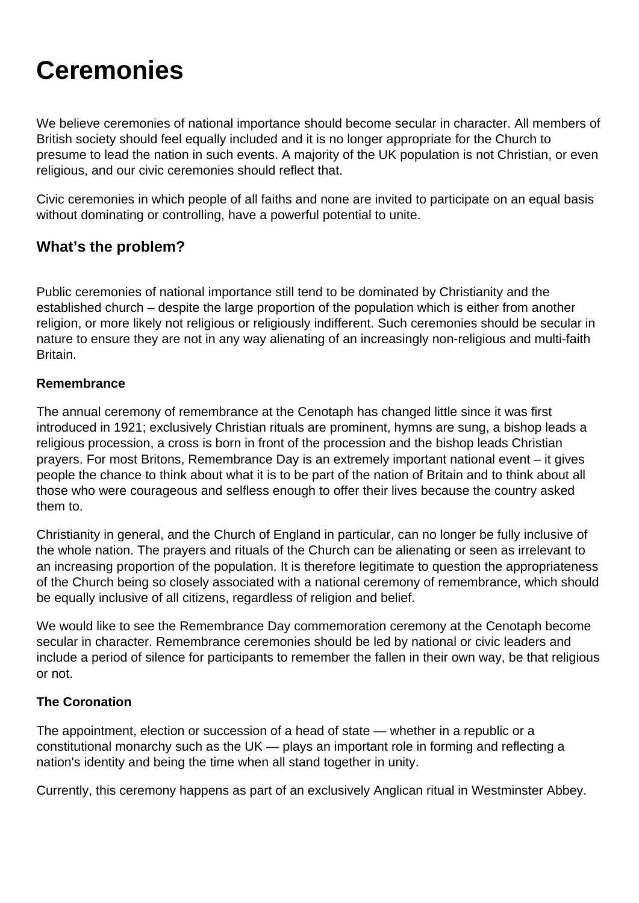# **Ceremonies**

We believe ceremonies of national importance should become secular in character. All members of British society should feel equally included and it is no longer appropriate for the Church to presume to lead the nation in such events. A majority of the UK population is not Christian, or even religious, and our civic ceremonies should reflect that.

Civic ceremonies in which people of all faiths and none are invited to participate on an equal basis without dominating or controlling, have a powerful potential to unite.

### **What's the problem?**

Public ceremonies of national importance still tend to be dominated by Christianity and the established church – despite the large proportion of the population which is either from another religion, or more likely not religious or religiously indifferent. Such ceremonies should be secular in nature to ensure they are not in any way alienating of an increasingly non-religious and multi-faith Britain.

#### **Remembrance**

The annual ceremony of remembrance at the Cenotaph has changed little since it was first introduced in 1921; exclusively Christian rituals are prominent, hymns are sung, a bishop leads a religious procession, a cross is born in front of the procession and the bishop leads Christian prayers. For most Britons, Remembrance Day is an extremely important national event – it gives people the chance to think about what it is to be part of the nation of Britain and to think about all those who were courageous and selfless enough to offer their lives because the country asked them to.

Christianity in general, and the Church of England in particular, can no longer be fully inclusive of the whole nation. The prayers and rituals of the Church can be alienating or seen as irrelevant to an increasing proportion of the population. It is therefore legitimate to question the appropriateness of the Church being so closely associated with a national ceremony of remembrance, which should be equally inclusive of all citizens, regardless of religion and belief.

We would like to see the Remembrance Day commemoration ceremony at the Cenotaph become secular in character. Remembrance ceremonies should be led by national or civic leaders and include a period of silence for participants to remember the fallen in their own way, be that religious or not.

#### **The Coronation**

The appointment, election or succession of a head of state — whether in a republic or a constitutional monarchy such as the UK — plays an important role in forming and reflecting a nation's identity and being the time when all stand together in unity.

Currently, this ceremony happens as part of an exclusively Anglican ritual in Westminster Abbey.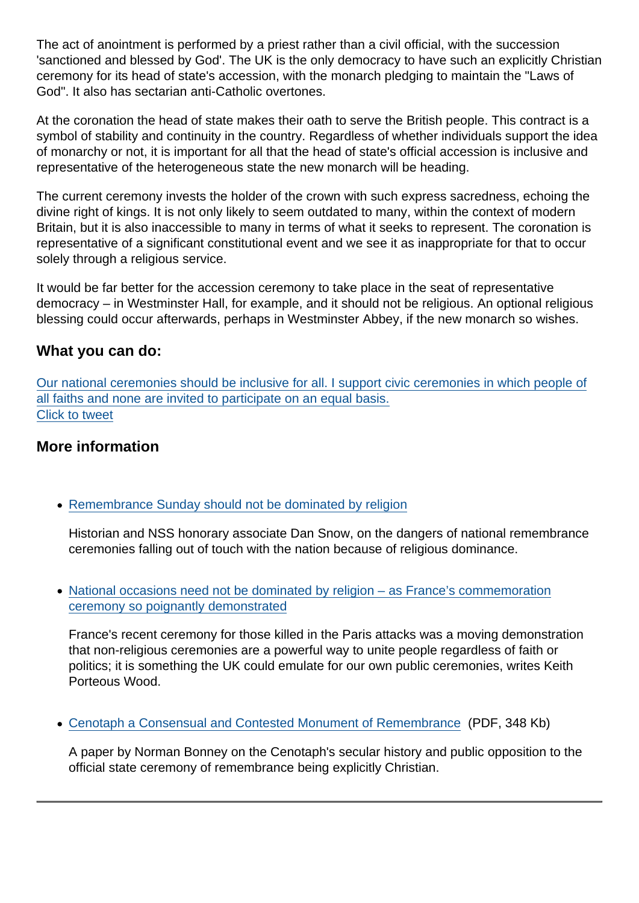[The act of anointment is performed by a priest rather than a civil official, with the succession](https://twitter.com/intent/tweet?url=https://www.secularism.org.uk/ceremonies&text=Our+national+ceremonies+should+be+inclusive+for+all.+I+support+civic+ceremonies+in+which+people+of+all+faiths+and+none+are+invited+to+participate+on+an+equal+basis.&via=NatSecSoc&hashtags=Remembrance,RemembranceSunday) 'sanctioned and blessed by God'. The UK is the only democracy to have such an explicitly Christian ceremony for its head of state's accession, with the monarch pledging to maintain the "Laws of God". It also has sectarian anti-Catholic overtones.

At the coronation the head of state makes their oath to serve the British people. This contract is a symbol of stability and continuity in the country. Regardless of whether individuals support the idea of monarchy or not, it is important for all that the head of state's official accession is inclusive and representative of the heterogeneous state the new monarch will be heading.

The current ceremony invests the holder of the crown with such express sacredness, echoing the divine right of kings. It is not only likely to seem outdated to many, within the context of modern Britain, but it is also inaccessible to many in terms of what it seeks to represent. The coronation is representative of a significant constitutional event and we see it as inappropriate for that to occur solely through a religious service.

It would be far better for the accession ceremony to take place in the seat of representative democracy – in Westminster Hall, for example, and it should not be religious. An optional religious blessing could occur afterwards, perhaps in Westminster Abbey, if the new monarch so wishes.

#### What you can do:

Our national ceremonies should be inclusive for all. I support civic ceremonies in which people of all faiths and none are invited to participate on an equal basis. Click to tweet

#### More information

• [Remembrance Sunday should not be dominated by religion](https://www.secularism.org.uk/opinion/2014/11/remembrance-sunday-should-not-be-dominated-by-religion)

Historian and NSS honorary associate Dan Snow, on the dangers of national remembrance ceremonies falling out of touch with the nation because of religious dominance.

[National occasions need not be dominated by religion – as France's commemoration](https://www.secularism.org.uk/opinion/2015/12/national-occasions-need-not-be-dominated-by-religion-as-frances-commemoration-ceremony-so-poignantly-demonstrated) [ceremony so poignantly demonstrated](https://www.secularism.org.uk/opinion/2015/12/national-occasions-need-not-be-dominated-by-religion-as-frances-commemoration-ceremony-so-poignantly-demonstrated)

France's recent ceremony for those killed in the Paris attacks was a moving demonstration that non-religious ceremonies are a powerful way to unite people regardless of faith or politics; it is something the UK could emulate for our own public ceremonies, writes Keith Porteous Wood.

[Cenotaph a Consensual and Contested Monument of Remembrance](https://www.secularism.org.uk/uploads/cenotaph-a-consensual-and-contested-monument-of-remembrance-16.pdf?v=1499161882) (PDF, 348 Kb)

A paper by Norman Bonney on the Cenotaph's secular history and public opposition to the official state ceremony of remembrance being explicitly Christian.